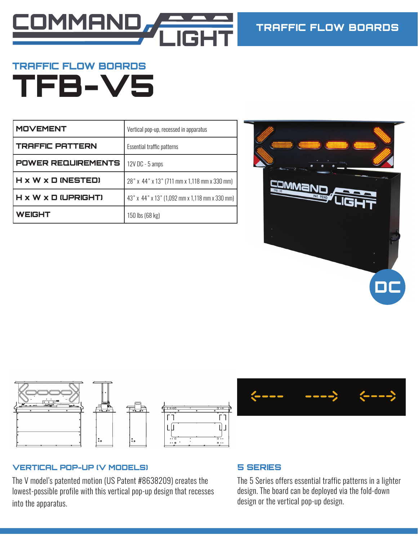

# TRAFFIC FLOW BOARDS TFB-V5

| <b>MOVEMENT</b>           | Vertical pop-up, recessed in apparatus         |
|---------------------------|------------------------------------------------|
| <b>TRAFFIC PATTERN</b>    | Essential traffic patterns                     |
| <b>POWER REQUIREMENTS</b> | 12V DC - 5 amps                                |
| H x W x D (NESTED)        | 28" x 44" x 13" (711 mm x 1,118 mm x 330 mm)   |
| H x W x D (UPRIGHT)       | 43" x 44" x 13" (1,092 mm x 1,118 mm x 330 mm) |
| <b>WEIGHT</b>             | 150 lbs (68 kg)                                |







# VERTICAL POP-UP (V MODELS)

The V model's patented motion (US Patent #8638209) creates the lowest-possible profile with this vertical pop-up design that recesses into the apparatus.

# 5 SERIES

The 5 Series offers essential traffic patterns in a lighter design. The board can be deployed via the fold-down design or the vertical pop-up design.